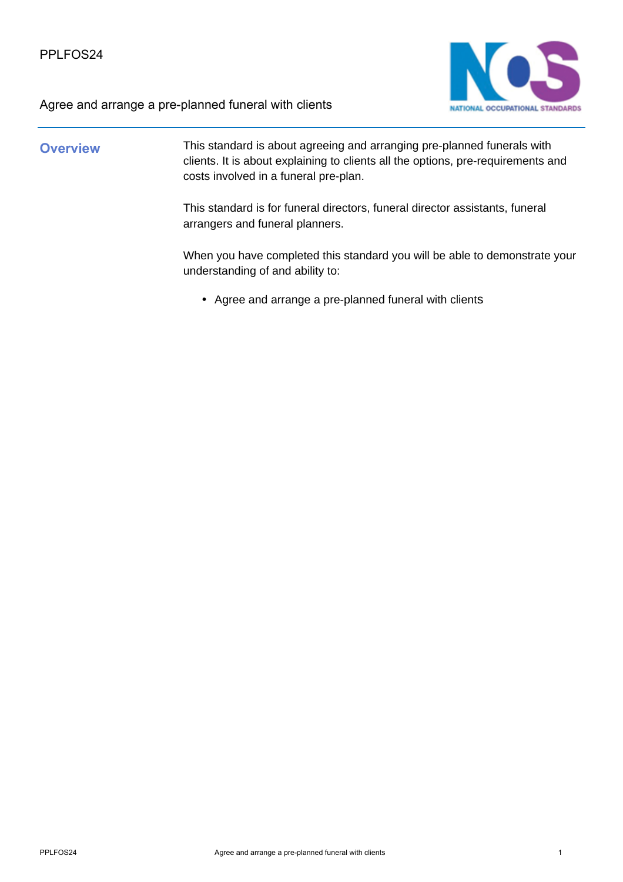



### **Overview** This standard is about agreeing and arranging pre-planned funerals with clients. It is about explaining to clients all the options, pre-requirements and costs involved in a funeral pre-plan.

This standard is for funeral directors, funeral director assistants, funeral arrangers and funeral planners.

When you have completed this standard you will be able to demonstrate your understanding of and ability to:

• Agree and arrange a pre-planned funeral with clients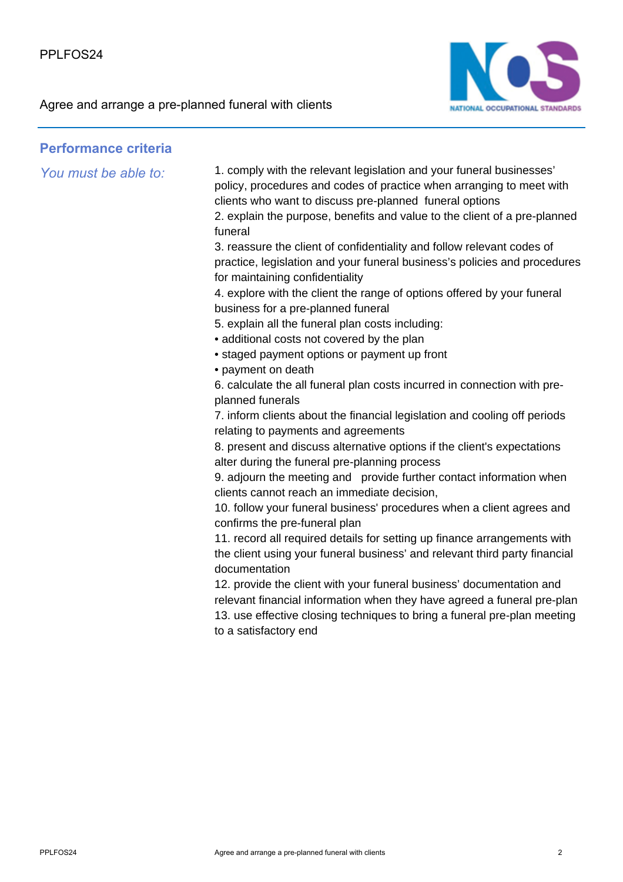

#### **Performance criteria**

*You must be able to:* 1. comply with the relevant legislation and your funeral businesses' policy, procedures and codes of practice when arranging to meet with clients who want to discuss pre-planned funeral options 2. explain the purpose, benefits and value to the client of a pre-planned funeral

> 3. reassure the client of confidentiality and follow relevant codes of practice, legislation and your funeral business's policies and procedures for maintaining confidentiality

4. explore with the client the range of options offered by your funeral business for a pre-planned funeral

- 5. explain all the funeral plan costs including:
- additional costs not covered by the plan
- staged payment options or payment up front
- payment on death

6. calculate the all funeral plan costs incurred in connection with preplanned funerals

7. inform clients about the financial legislation and cooling off periods relating to payments and agreements

8. present and discuss alternative options if the client's expectations alter during the funeral pre-planning process

9. adjourn the meeting and provide further contact information when clients cannot reach an immediate decision,

10. follow your funeral business' procedures when a client agrees and confirms the pre-funeral plan

11. record all required details for setting up finance arrangements with the client using your funeral business' and relevant third party financial documentation

12. provide the client with your funeral business' documentation and relevant financial information when they have agreed a funeral pre-plan 13. use effective closing techniques to bring a funeral pre-plan meeting to a satisfactory end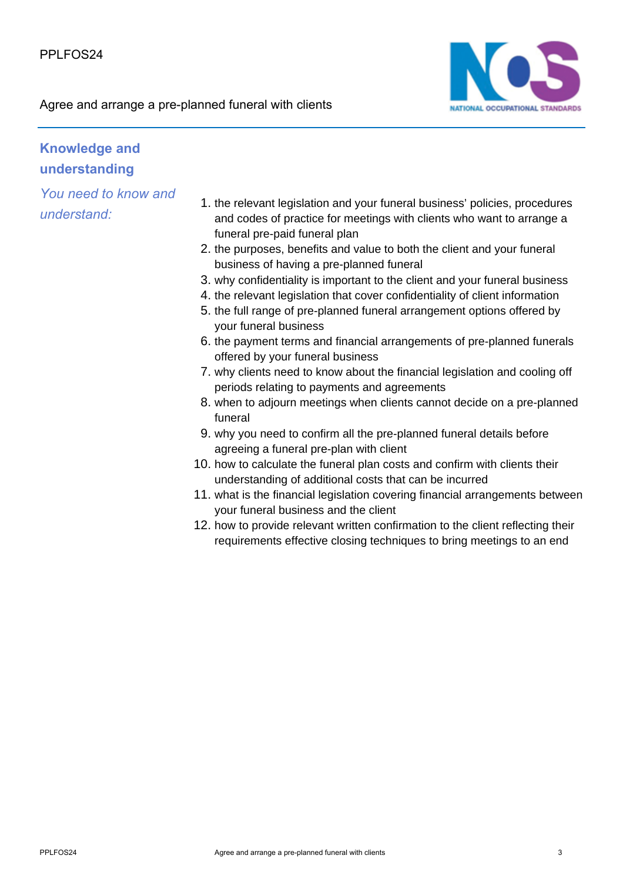

## **Knowledge and understanding**

*You need to know and understand:*

- 1. the relevant legislation and your funeral business' policies, procedures and codes of practice for meetings with clients who want to arrange a funeral pre-paid funeral plan
- 2. the purposes, benefits and value to both the client and your funeral business of having a pre-planned funeral
- 3. why confidentiality is important to the client and your funeral business
- 4. the relevant legislation that cover confidentiality of client information
- 5. the full range of pre-planned funeral arrangement options offered by your funeral business
- 6. the payment terms and financial arrangements of pre-planned funerals offered by your funeral business
- 7. why clients need to know about the financial legislation and cooling off periods relating to payments and agreements
- 8. when to adjourn meetings when clients cannot decide on a pre-planned funeral
- 9. why you need to confirm all the pre-planned funeral details before agreeing a funeral pre-plan with client
- 10. how to calculate the funeral plan costs and confirm with clients their understanding of additional costs that can be incurred
- 11. what is the financial legislation covering financial arrangements between your funeral business and the client
- 12. how to provide relevant written confirmation to the client reflecting their requirements effective closing techniques to bring meetings to an end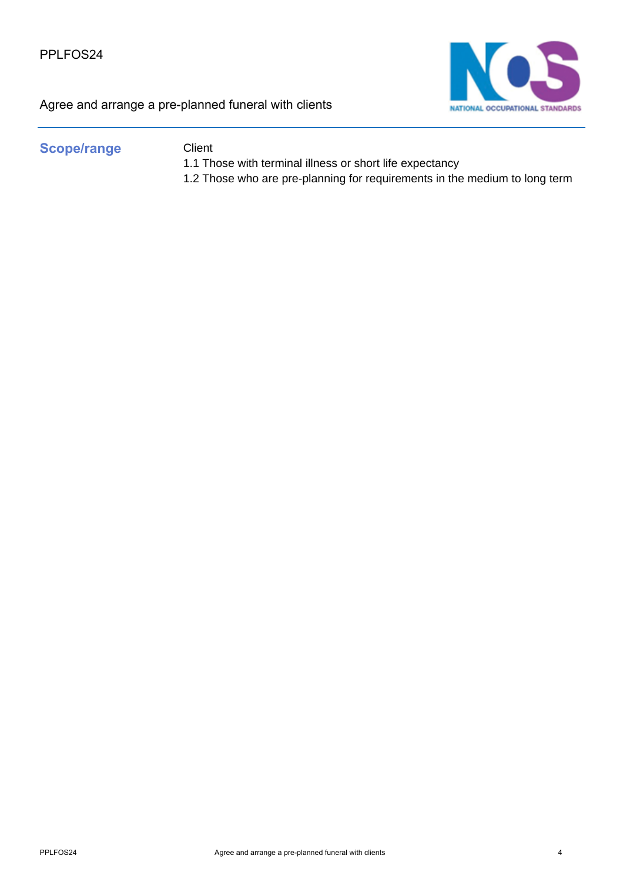

### Scope/range Client

- 1.1 Those with terminal illness or short life expectancy
- 1.2 Those who are pre-planning for requirements in the medium to long term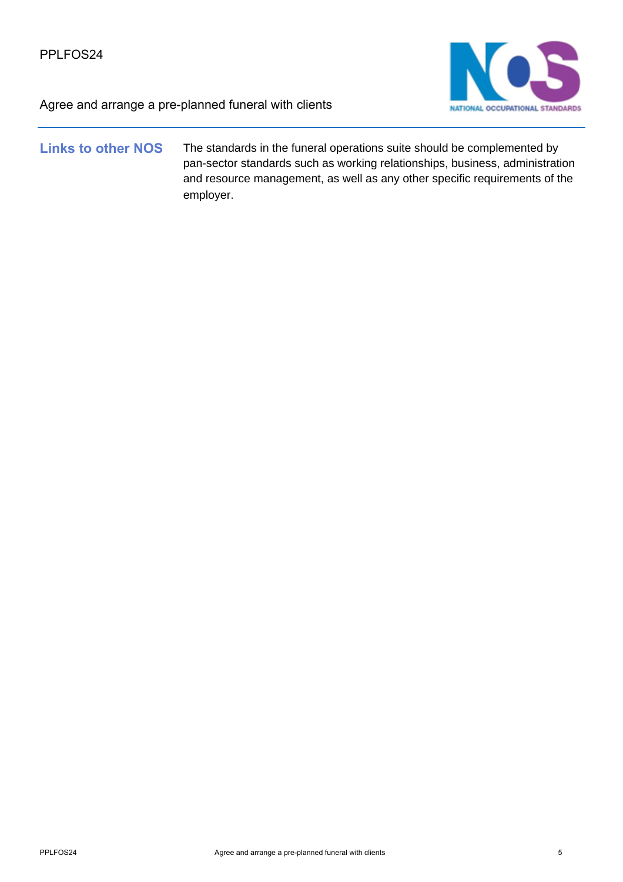

#### **Links to other NOS** The standards in the funeral operations suite should be complemented by pan-sector standards such as working relationships, business, administration and resource management, as well as any other specific requirements of the employer.